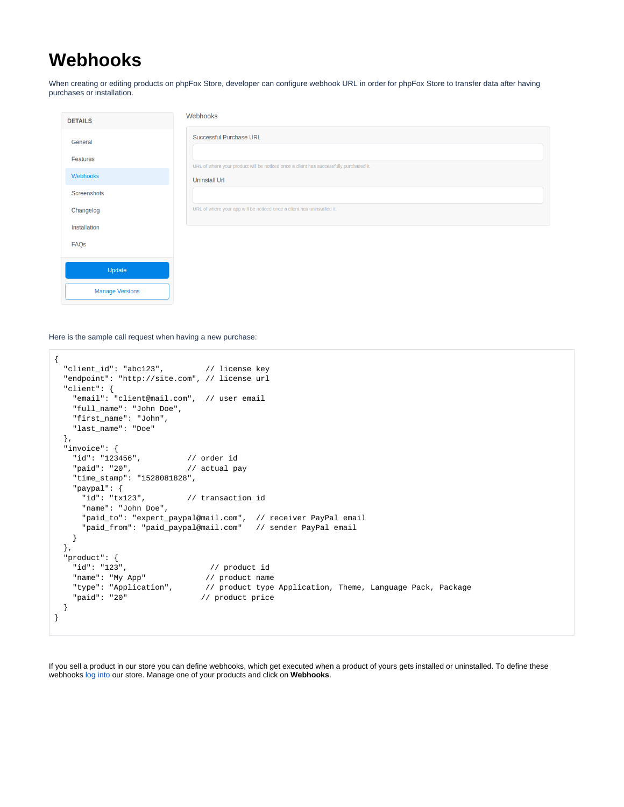## **Webhooks**

When creating or editing products on phpFox Store, developer can configure webhook URL in order for phpFox Store to transfer data after having purchases or installation.

| <b>DETAILS</b>         | Webhooks                                                                               |  |
|------------------------|----------------------------------------------------------------------------------------|--|
| General                | <b>Successful Purchase URL</b>                                                         |  |
| Features               | URL of where your product will be noticed once a client has successfully purchased it. |  |
| Webhooks               | <b>Uninstall Url</b>                                                                   |  |
| Screenshots            |                                                                                        |  |
| Changelog              | URL of where your app will be noticed once a client has uninstalled it.                |  |
| Installation           |                                                                                        |  |
| FAQs                   |                                                                                        |  |
| Update                 |                                                                                        |  |
| <b>Manage Versions</b> |                                                                                        |  |

Here is the sample call request when having a new purchase:

```
{
   "client_id": "abc123", // license key
  "endpoint": "http://site.com", // license url
   "client": {
    "email": "client@mail.com", // user email
     "full_name": "John Doe",
     "first_name": "John",
    "last_name": "Doe"
  },
  "invoice": {<br>"id": "123456",
 "id": "123456", // order id
 "paid": "20", // actual pay
     "time_stamp": "1528081828",
    "paypal": {<br>"id": "tx123",
                            // transaction id
      "name": "John Doe",
      "paid_to": "expert_paypal@mail.com", // receiver PayPal email
      "paid_from": "paid_paypal@mail.com" // sender PayPal email
    }
  },
   "product": {
    "id": "123", // product id
   "name": "My App" // product name<br>"type": "Application", // product type
                               // product type Application, Theme, Language Pack, Package
     "paid": "20" // product price
   }
}
```
If you sell a product in our store you can define webhooks, which get executed when a product of yours gets installed or uninstalled. To define these webhooks [log into](https://store.phpfox.com/login) our store. Manage one of your products and click on **Webhooks**.